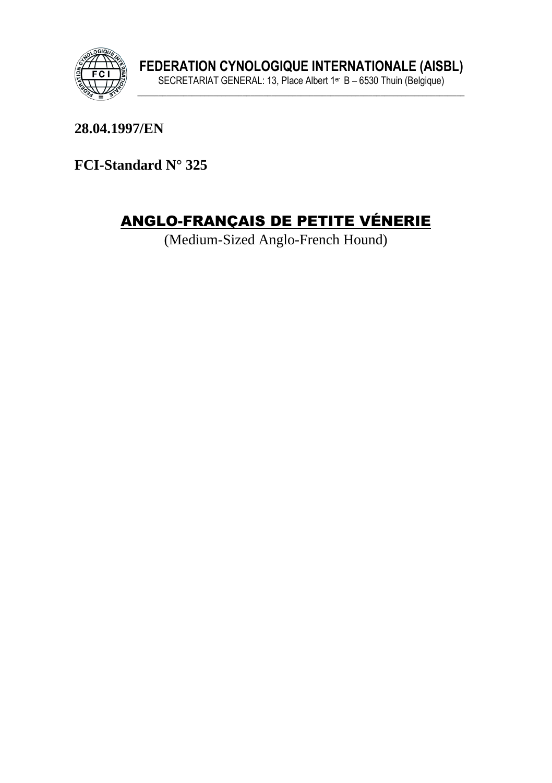

28.04.1997/EN

FCI-Standard N° 325

# **ANGLO-FRANÇAIS DE PETITE VÉNERIE**

(Medium-Sized Anglo-French Hound)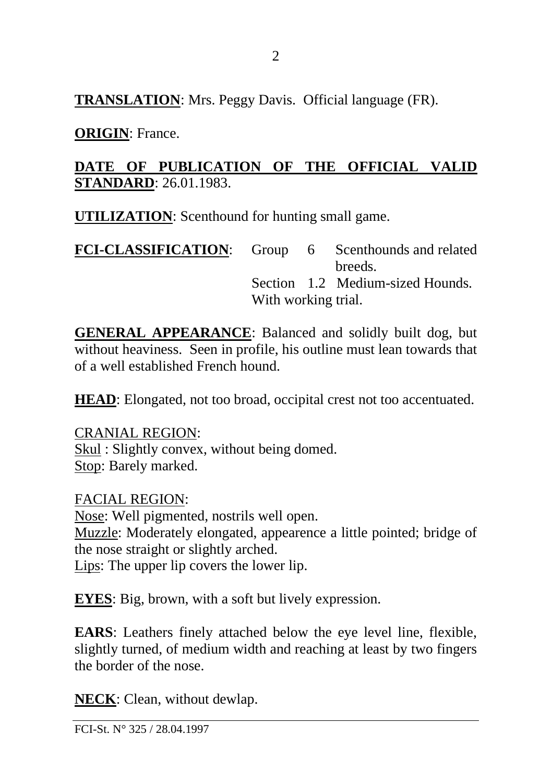**TRANSLATION**: Mrs. Peggy Davis. Official language (FR).

**ORIGIN**: France.

#### **DATE OF PUBLICATION OF THE OFFICIAL VALID STANDARD**: 26.01.1983.

**UTILIZATION**: Scenthound for hunting small game.

| <b>FCI-CLASSIFICATION:</b> Group 6 Scenthounds and related |                     |  |                                  |
|------------------------------------------------------------|---------------------|--|----------------------------------|
|                                                            |                     |  | breeds.                          |
|                                                            |                     |  | Section 1.2 Medium-sized Hounds. |
|                                                            | With working trial. |  |                                  |

**GENERAL APPEARANCE**: Balanced and solidly built dog, but without heaviness. Seen in profile, his outline must lean towards that of a well established French hound.

**HEAD**: Elongated, not too broad, occipital crest not too accentuated.

CRANIAL REGION: Skul : Slightly convex, without being domed. Stop: Barely marked.

FACIAL REGION: Nose: Well pigmented, nostrils well open. Muzzle: Moderately elongated, appearence a little pointed; bridge of the nose straight or slightly arched. Lips: The upper lip covers the lower lip.

**EYES**: Big, brown, with a soft but lively expression.

**EARS**: Leathers finely attached below the eye level line, flexible, slightly turned, of medium width and reaching at least by two fingers the border of the nose.

**NECK**: Clean, without dewlap.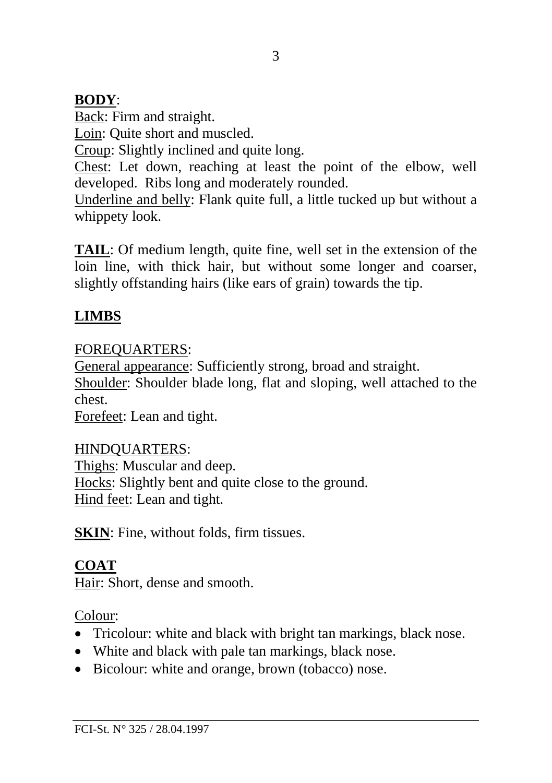#### **BODY**:

Back: Firm and straight.

Loin: Quite short and muscled.

Croup: Slightly inclined and quite long.

Chest: Let down, reaching at least the point of the elbow, well developed. Ribs long and moderately rounded.

Underline and belly: Flank quite full, a little tucked up but without a whippety look.

**TAIL**: Of medium length, quite fine, well set in the extension of the loin line, with thick hair, but without some longer and coarser, slightly offstanding hairs (like ears of grain) towards the tip.

## **LIMBS**

## FOREQUARTERS:

General appearance: Sufficiently strong, broad and straight.

Shoulder: Shoulder blade long, flat and sloping, well attached to the chest.

Forefeet: Lean and tight.

## HINDQUARTERS:

Thighs: Muscular and deep. Hocks: Slightly bent and quite close to the ground. Hind feet: Lean and tight.

**SKIN**: Fine, without folds, firm tissues.

# **COAT**

Hair: Short, dense and smooth.

Colour:

- Tricolour: white and black with bright tan markings, black nose.
- White and black with pale tan markings, black nose.
- Bicolour: white and orange, brown (tobacco) nose.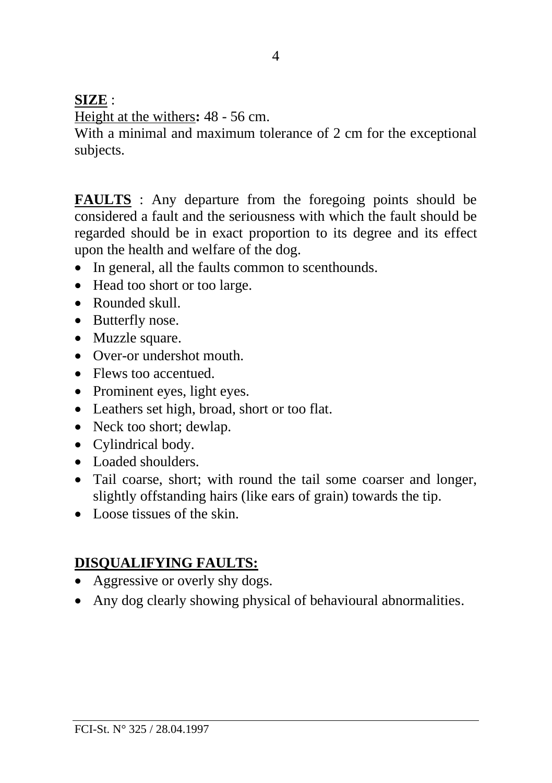#### **SIZE** :

Height at the withers**:** 48 - 56 cm.

With a minimal and maximum tolerance of 2 cm for the exceptional subjects.

**FAULTS** : Any departure from the foregoing points should be considered a fault and the seriousness with which the fault should be regarded should be in exact proportion to its degree and its effect upon the health and welfare of the dog.

- In general, all the faults common to scenthounds.
- Head too short or too large.
- Rounded skull.
- Butterfly nose.
- Muzzle square.
- Over-or undershot mouth.
- Flews too accentued.
- Prominent eyes, light eyes.
- Leathers set high, broad, short or too flat.
- Neck too short; dewlap.
- Cylindrical body.
- Loaded shoulders
- Tail coarse, short; with round the tail some coarser and longer, slightly offstanding hairs (like ears of grain) towards the tip.
- Loose tissues of the skin.

# **DISQUALIFYING FAULTS:**

- Aggressive or overly shy dogs.
- Any dog clearly showing physical of behavioural abnormalities.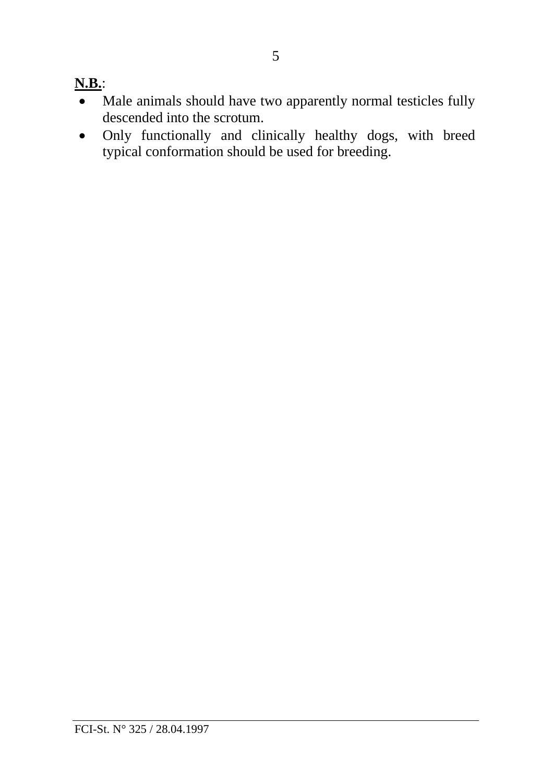### **N.B.**:

- Male animals should have two apparently normal testicles fully descended into the scrotum.
- Only functionally and clinically healthy dogs, with breed typical conformation should be used for breeding.